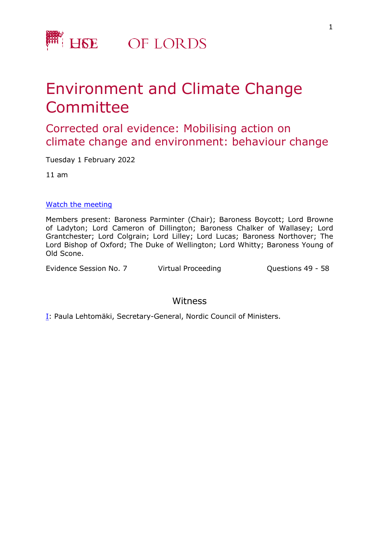

## Environment and Climate Change Committee

Corrected oral evidence: Mobilising action on climate change and environment: behaviour change

Tuesday 1 February 2022

11 am

## [Watch](https://parliamentlive.tv/event/index/d5f58313-abca-4232-b806-fef199c91305) [the](https://parliamentlive.tv/event/index/d5f58313-abca-4232-b806-fef199c91305) [m](https://parliamentlive.tv/event/index/d5f58313-abca-4232-b806-fef199c91305)eeting

Members present: Baroness Parminter (Chair); Baroness Boycott; Lord Browne of Ladyton; Lord Cameron of Dillington; Baroness Chalker of Wallasey; Lord Grantchester; Lord Colgrain; Lord Lilley; Lord Lucas; Baroness Northover; The Lord Bishop of Oxford; The Duke of Wellington; Lord Whitty; Baroness Young of Old Scone.

Evidence Session No. 7 Virtual Proceeding Cuestions 49 - 58

## Witness

[I:](#page-1-0) Paula Lehtomäki, Secretary-General, Nordic Council of Ministers.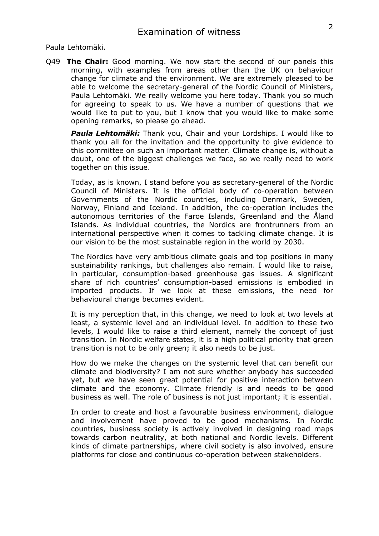<span id="page-1-0"></span>Paula Lehtomäki.

Q49 **The Chair:** Good morning. We now start the second of our panels this morning, with examples from areas other than the UK on behaviour change for climate and the environment. We are extremely pleased to be able to welcome the secretary-general of the Nordic Council of Ministers, Paula Lehtomäki. We really welcome you here today. Thank you so much for agreeing to speak to us. We have a number of questions that we would like to put to you, but I know that you would like to make some opening remarks, so please go ahead.

*Paula Lehtomäki:* Thank you, Chair and your Lordships. I would like to thank you all for the invitation and the opportunity to give evidence to this committee on such an important matter. Climate change is, without a doubt, one of the biggest challenges we face, so we really need to work together on this issue.

Today, as is known, I stand before you as secretary-general of the Nordic Council of Ministers. It is the official body of co-operation between Governments of the Nordic countries, including Denmark, Sweden, Norway, Finland and Iceland. In addition, the co-operation includes the autonomous territories of the Faroe Islands, Greenland and the Åland Islands. As individual countries, the Nordics are frontrunners from an international perspective when it comes to tackling climate change. It is our vision to be the most sustainable region in the world by 2030.

The Nordics have very ambitious climate goals and top positions in many sustainability rankings, but challenges also remain. I would like to raise, in particular, consumption-based greenhouse gas issues. A significant share of rich countries' consumption-based emissions is embodied in imported products. If we look at these emissions, the need for behavioural change becomes evident.

It is my perception that, in this change, we need to look at two levels at least, a systemic level and an individual level. In addition to these two levels, I would like to raise a third element, namely the concept of just transition. In Nordic welfare states, it is a high political priority that green transition is not to be only green; it also needs to be just.

How do we make the changes on the systemic level that can benefit our climate and biodiversity? I am not sure whether anybody has succeeded yet, but we have seen great potential for positive interaction between climate and the economy. Climate friendly is and needs to be good business as well. The role of business is not just important; it is essential.

In order to create and host a favourable business environment, dialogue and involvement have proved to be good mechanisms. In Nordic countries, business society is actively involved in designing road maps towards carbon neutrality, at both national and Nordic levels. Different kinds of climate partnerships, where civil society is also involved, ensure platforms for close and continuous co-operation between stakeholders.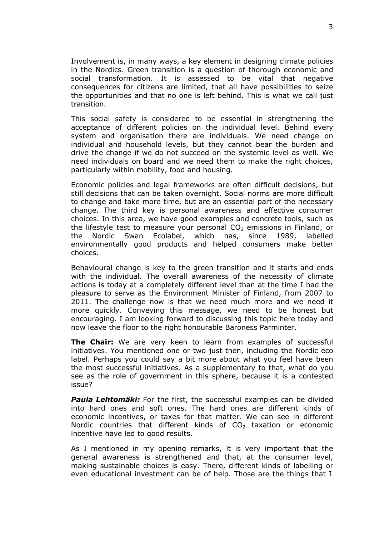Involvement is, in many ways, a key element in designing climate policies in the Nordics. Green transition is a question of thorough economic and social transformation. It is assessed to be vital that negative consequences for citizens are limited, that all have possibilities to seize the opportunities and that no one is left behind. This is what we call just transition.

This social safety is considered to be essential in strengthening the acceptance of different policies on the individual level. Behind every system and organisation there are individuals. We need change on individual and household levels, but they cannot bear the burden and drive the change if we do not succeed on the systemic level as well. We need individuals on board and we need them to make the right choices, particularly within mobility, food and housing.

Economic policies and legal frameworks are often difficult decisions, but still decisions that can be taken overnight. Social norms are more difficult to change and take more time, but are an essential part of the necessary change. The third key is personal awareness and effective consumer choices. In this area, we have good examples and concrete tools, such as the lifestyle test to measure your personal  $CO<sub>2</sub>$  emissions in Finland, or the Nordic Swan Ecolabel, which has, since 1989, labelled environmentally good products and helped consumers make better choices.

Behavioural change is key to the green transition and it starts and ends with the individual. The overall awareness of the necessity of climate actions is today at a completely different level than at the time I had the pleasure to serve as the Environment Minister of Finland, from 2007 to 2011. The challenge now is that we need much more and we need it more quickly. Conveying this message, we need to be honest but encouraging. I am looking forward to discussing this topic here today and now leave the floor to the right honourable Baroness Parminter.

**The Chair:** We are very keen to learn from examples of successful initiatives. You mentioned one or two just then, including the Nordic eco label. Perhaps you could say a bit more about what you feel have been the most successful initiatives. As a supplementary to that, what do you see as the role of government in this sphere, because it is a contested issue?

*Paula Lehtomäki:* For the first, the successful examples can be divided into hard ones and soft ones. The hard ones are different kinds of economic incentives, or taxes for that matter. We can see in different Nordic countries that different kinds of  $CO<sub>2</sub>$  taxation or economic incentive have led to good results.

As I mentioned in my opening remarks, it is very important that the general awareness is strengthened and that, at the consumer level, making sustainable choices is easy. There, different kinds of labelling or even educational investment can be of help. Those are the things that I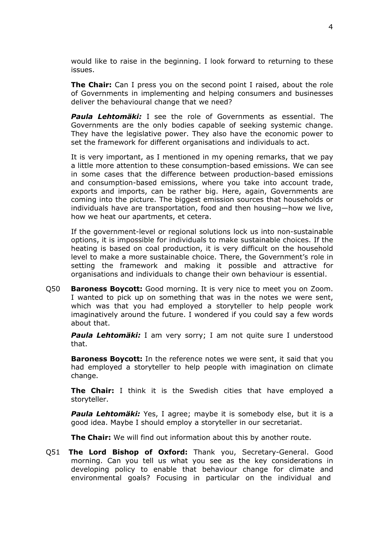would like to raise in the beginning. I look forward to returning to these issues.

**The Chair:** Can I press you on the second point I raised, about the role of Governments in implementing and helping consumers and businesses deliver the behavioural change that we need?

*Paula Lehtomäki:* I see the role of Governments as essential. The Governments are the only bodies capable of seeking systemic change. They have the legislative power. They also have the economic power to set the framework for different organisations and individuals to act.

It is very important, as I mentioned in my opening remarks, that we pay a little more attention to these consumption-based emissions. We can see in some cases that the difference between production-based emissions and consumption-based emissions, where you take into account trade, exports and imports, can be rather big. Here, again, Governments are coming into the picture. The biggest emission sources that households or individuals have are transportation, food and then housing—how we live, how we heat our apartments, et cetera.

If the government-level or regional solutions lock us into non-sustainable options, it is impossible for individuals to make sustainable choices. If the heating is based on coal production, it is very difficult on the household level to make a more sustainable choice. There, the Government's role in setting the framework and making it possible and attractive for organisations and individuals to change their own behaviour is essential.

Q50 **Baroness Boycott:** Good morning. It is very nice to meet you on Zoom. I wanted to pick up on something that was in the notes we were sent, which was that you had employed a storyteller to help people work imaginatively around the future. I wondered if you could say a few words about that.

*Paula Lehtomäki:* I am very sorry; I am not quite sure I understood that.

**Baroness Boycott:** In the reference notes we were sent, it said that you had employed a storyteller to help people with imagination on climate change.

**The Chair:** I think it is the Swedish cities that have employed a storyteller.

*Paula Lehtomäki:* Yes, I agree; maybe it is somebody else, but it is a good idea. Maybe I should employ a storyteller in our secretariat.

**The Chair:** We will find out information about this by another route.

Q51 **The Lord Bishop of Oxford:** Thank you, Secretary-General. Good morning. Can you tell us what you see as the key considerations in developing policy to enable that behaviour change for climate and environmental goals? Focusing in particular on the individual and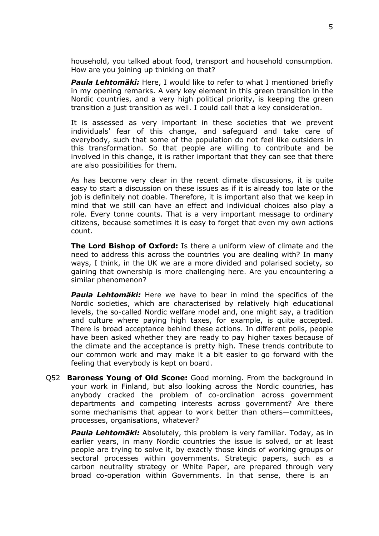household, you talked about food, transport and household consumption. How are you joining up thinking on that?

*Paula Lehtomäki:* Here, I would like to refer to what I mentioned briefly in my opening remarks. A very key element in this green transition in the Nordic countries, and a very high political priority, is keeping the green transition a just transition as well. I could call that a key consideration.

It is assessed as very important in these societies that we prevent individuals' fear of this change, and safeguard and take care of everybody, such that some of the population do not feel like outsiders in this transformation. So that people are willing to contribute and be involved in this change, it is rather important that they can see that there are also possibilities for them.

As has become very clear in the recent climate discussions, it is quite easy to start a discussion on these issues as if it is already too late or the job is definitely not doable. Therefore, it is important also that we keep in mind that we still can have an effect and individual choices also play a role. Every tonne counts. That is a very important message to ordinary citizens, because sometimes it is easy to forget that even my own actions count.

**The Lord Bishop of Oxford:** Is there a uniform view of climate and the need to address this across the countries you are dealing with? In many ways, I think, in the UK we are a more divided and polarised society, so gaining that ownership is more challenging here. Are you encountering a similar phenomenon?

*Paula Lehtomäki:* Here we have to bear in mind the specifics of the Nordic societies, which are characterised by relatively high educational levels, the so-called Nordic welfare model and, one might say, a tradition and culture where paying high taxes, for example, is quite accepted. There is broad acceptance behind these actions. In different polls, people have been asked whether they are ready to pay higher taxes because of the climate and the acceptance is pretty high. These trends contribute to our common work and may make it a bit easier to go forward with the feeling that everybody is kept on board.

Q52 **Baroness Young of Old Scone:** Good morning. From the background in your work in Finland, but also looking across the Nordic countries, has anybody cracked the problem of co-ordination across government departments and competing interests across government? Are there some mechanisms that appear to work better than others—committees, processes, organisations, whatever?

*Paula Lehtomäki:* Absolutely, this problem is very familiar. Today, as in earlier years, in many Nordic countries the issue is solved, or at least people are trying to solve it, by exactly those kinds of working groups or sectoral processes within governments. Strategic papers, such as a carbon neutrality strategy or White Paper, are prepared through very broad co-operation within Governments. In that sense, there is an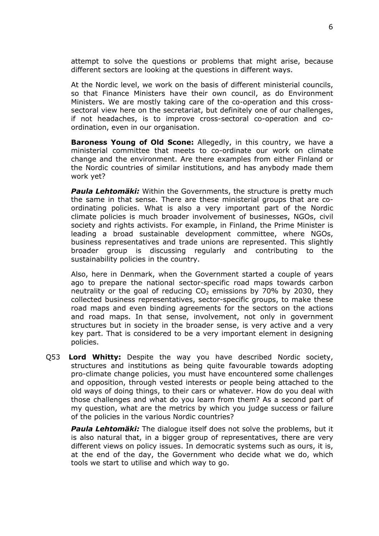attempt to solve the questions or problems that might arise, because different sectors are looking at the questions in different ways.

At the Nordic level, we work on the basis of different ministerial councils, so that Finance Ministers have their own council, as do Environment Ministers. We are mostly taking care of the co-operation and this crosssectoral view here on the secretariat, but definitely one of our challenges, if not headaches, is to improve cross-sectoral co-operation and coordination, even in our organisation.

**Baroness Young of Old Scone:** Allegedly, in this country, we have a ministerial committee that meets to co-ordinate our work on climate change and the environment. Are there examples from either Finland or the Nordic countries of similar institutions, and has anybody made them work yet?

*Paula Lehtomäki:* Within the Governments, the structure is pretty much the same in that sense. There are these ministerial groups that are coordinating policies. What is also a very important part of the Nordic climate policies is much broader involvement of businesses, NGOs, civil society and rights activists. For example, in Finland, the Prime Minister is leading a broad sustainable development committee, where NGOs, business representatives and trade unions are represented. This slightly broader group is discussing regularly and contributing to the sustainability policies in the country.

Also, here in Denmark, when the Government started a couple of years ago to prepare the national sector-specific road maps towards carbon neutrality or the goal of reducing  $CO<sub>2</sub>$  emissions by 70% by 2030, they collected business representatives, sector-specific groups, to make these road maps and even binding agreements for the sectors on the actions and road maps. In that sense, involvement, not only in government structures but in society in the broader sense, is very active and a very key part. That is considered to be a very important element in designing policies.

Q53 **Lord Whitty:** Despite the way you have described Nordic society, structures and institutions as being quite favourable towards adopting pro-climate change policies, you must have encountered some challenges and opposition, through vested interests or people being attached to the old ways of doing things, to their cars or whatever. How do you deal with those challenges and what do you learn from them? As a second part of my question, what are the metrics by which you judge success or failure of the policies in the various Nordic countries?

*Paula Lehtomäki:* The dialogue itself does not solve the problems, but it is also natural that, in a bigger group of representatives, there are very different views on policy issues. In democratic systems such as ours, it is, at the end of the day, the Government who decide what we do, which tools we start to utilise and which way to go.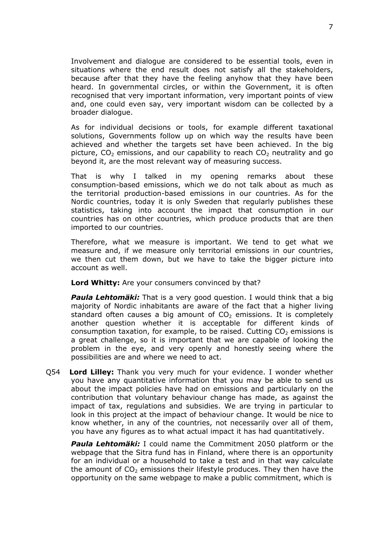Involvement and dialogue are considered to be essential tools, even in situations where the end result does not satisfy all the stakeholders, because after that they have the feeling anyhow that they have been heard. In governmental circles, or within the Government, it is often recognised that very important information, very important points of view and, one could even say, very important wisdom can be collected by a broader dialogue.

As for individual decisions or tools, for example different taxational solutions, Governments follow up on which way the results have been achieved and whether the targets set have been achieved. In the big picture,  $CO<sub>2</sub>$  emissions, and our capability to reach  $CO<sub>2</sub>$  neutrality and go beyond it, are the most relevant way of measuring success.

That is why I talked in my opening remarks about these consumption-based emissions, which we do not talk about as much as the territorial production-based emissions in our countries. As for the Nordic countries, today it is only Sweden that regularly publishes these statistics, taking into account the impact that consumption in our countries has on other countries, which produce products that are then imported to our countries.

Therefore, what we measure is important. We tend to get what we measure and, if we measure only territorial emissions in our countries, we then cut them down, but we have to take the bigger picture into account as well.

**Lord Whitty:** Are your consumers convinced by that?

*Paula Lehtomäki:* That is a very good question. I would think that a big majority of Nordic inhabitants are aware of the fact that a higher living standard often causes a big amount of  $CO<sub>2</sub>$  emissions. It is completely another question whether it is acceptable for different kinds of consumption taxation, for example, to be raised. Cutting  $CO<sub>2</sub>$  emissions is a great challenge, so it is important that we are capable of looking the problem in the eye, and very openly and honestly seeing where the possibilities are and where we need to act.

Q54 **Lord Lilley:** Thank you very much for your evidence. I wonder whether you have any quantitative information that you may be able to send us about the impact policies have had on emissions and particularly on the contribution that voluntary behaviour change has made, as against the impact of tax, regulations and subsidies. We are trying in particular to look in this project at the impact of behaviour change. It would be nice to know whether, in any of the countries, not necessarily over all of them, you have any figures as to what actual impact it has had quantitatively.

*Paula Lehtomäki:* I could name the Commitment 2050 platform or the webpage that the Sitra fund has in Finland, where there is an opportunity for an individual or a household to take a test and in that way calculate the amount of  $CO<sub>2</sub>$  emissions their lifestyle produces. They then have the opportunity on the same webpage to make a public commitment, which is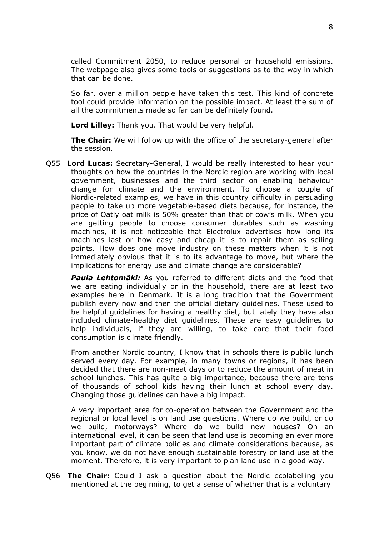called Commitment 2050, to reduce personal or household emissions. The webpage also gives some tools or suggestions as to the way in which that can be done.

So far, over a million people have taken this test. This kind of concrete tool could provide information on the possible impact. At least the sum of all the commitments made so far can be definitely found.

**Lord Lilley:** Thank you. That would be very helpful.

**The Chair:** We will follow up with the office of the secretary-general after the session.

Q55 **Lord Lucas:** Secretary-General, I would be really interested to hear your thoughts on how the countries in the Nordic region are working with local government, businesses and the third sector on enabling behaviour change for climate and the environment. To choose a couple of Nordic-related examples, we have in this country difficulty in persuading people to take up more vegetable-based diets because, for instance, the price of Oatly oat milk is 50% greater than that of cow's milk. When you are getting people to choose consumer durables such as washing machines, it is not noticeable that Electrolux advertises how long its machines last or how easy and cheap it is to repair them as selling points. How does one move industry on these matters when it is not immediately obvious that it is to its advantage to move, but where the implications for energy use and climate change are considerable?

*Paula Lehtomäki:* As you referred to different diets and the food that we are eating individually or in the household, there are at least two examples here in Denmark. It is a long tradition that the Government publish every now and then the official dietary guidelines. These used to be helpful guidelines for having a healthy diet, but lately they have also included climate-healthy diet guidelines. These are easy guidelines to help individuals, if they are willing, to take care that their food consumption is climate friendly.

From another Nordic country, I know that in schools there is public lunch served every day. For example, in many towns or regions, it has been decided that there are non-meat days or to reduce the amount of meat in school lunches. This has quite a big importance, because there are tens of thousands of school kids having their lunch at school every day. Changing those guidelines can have a big impact.

A very important area for co-operation between the Government and the regional or local level is on land use questions. Where do we build, or do we build, motorways? Where do we build new houses? On an international level, it can be seen that land use is becoming an ever more important part of climate policies and climate considerations because, as you know, we do not have enough sustainable forestry or land use at the moment. Therefore, it is very important to plan land use in a good way.

Q56 **The Chair:** Could I ask a question about the Nordic ecolabelling you mentioned at the beginning, to get a sense of whether that is a voluntary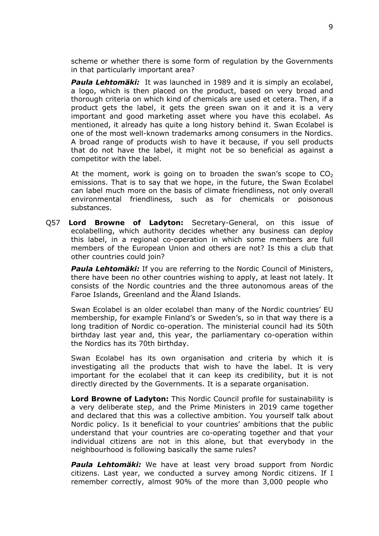scheme or whether there is some form of regulation by the Governments in that particularly important area?

*Paula Lehtomäki:* It was launched in 1989 and it is simply an ecolabel, a logo, which is then placed on the product, based on very broad and thorough criteria on which kind of chemicals are used et cetera. Then, if a product gets the label, it gets the green swan on it and it is a very important and good marketing asset where you have this ecolabel. As mentioned, it already has quite a long history behind it. Swan Ecolabel is one of the most well-known trademarks among consumers in the Nordics. A broad range of products wish to have it because, if you sell products that do not have the label, it might not be so beneficial as against a competitor with the label.

At the moment, work is going on to broaden the swan's scope to  $CO<sub>2</sub>$ emissions. That is to say that we hope, in the future, the Swan Ecolabel can label much more on the basis of climate friendliness, not only overall environmental friendliness, such as for chemicals or poisonous substances.

Q57 **Lord Browne of Ladyton:** Secretary-General, on this issue of ecolabelling, which authority decides whether any business can deploy this label, in a regional co-operation in which some members are full members of the European Union and others are not? Is this a club that other countries could join?

*Paula Lehtomäki:* If you are referring to the Nordic Council of Ministers, there have been no other countries wishing to apply, at least not lately. It consists of the Nordic countries and the three autonomous areas of the Faroe Islands, Greenland and the Åland Islands.

Swan Ecolabel is an older ecolabel than many of the Nordic countries' EU membership, for example Finland's or Sweden's, so in that way there is a long tradition of Nordic co-operation. The ministerial council had its 50th birthday last year and, this year, the parliamentary co-operation within the Nordics has its 70th birthday.

Swan Ecolabel has its own organisation and criteria by which it is investigating all the products that wish to have the label. It is very important for the ecolabel that it can keep its credibility, but it is not directly directed by the Governments. It is a separate organisation.

**Lord Browne of Ladyton:** This Nordic Council profile for sustainability is a very deliberate step, and the Prime Ministers in 2019 came together and declared that this was a collective ambition. You yourself talk about Nordic policy. Is it beneficial to your countries' ambitions that the public understand that your countries are co-operating together and that your individual citizens are not in this alone, but that everybody in the neighbourhood is following basically the same rules?

*Paula Lehtomäki:* We have at least very broad support from Nordic citizens. Last year, we conducted a survey among Nordic citizens. If I remember correctly, almost 90% of the more than 3,000 people who